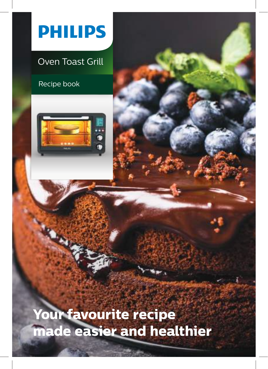

# Oven Toast Grill

Recipe book



**Your favourite recipe made easier and healthier**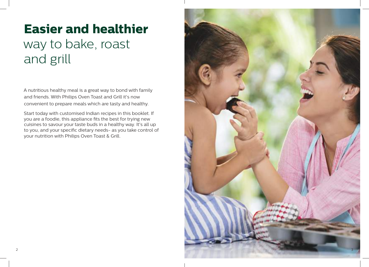# **Easier and healthier**  way to bake, roast and grill

A nutritious healthy meal is a great way to bond with family and friends. With Philips Oven Toast and Grill it's now convenient to prepare meals which are tasty and healthy.

Start today with customised Indian recipes in this booklet. If you are a foodie, this appliance fits the best for trying new cuisines to savour your taste buds in a healthy way. It's all up to you, and your specific dietary needs- as you take control of your nutrition with Philips Oven Toast & Grill.

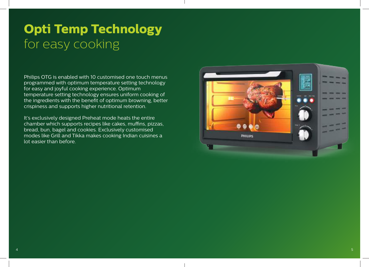# **Opti Temp Technology**  for easy cooking

Philips OTG is enabled with 10 customised one touch menus programmed with optimum temperature setting technology for easy and joyful cooking experience. Optimum temperature setting technology ensures uniform cooking of the ingredients with the benefit of optimum browning, better crispiness and supports higher nutritional retention.

It's exclusively designed Preheat mode heats the entire chamber which supports recipes like cakes, muffins, pizzas, bread, bun, bagel and cookies. Exclusively customised modes like Grill and Tikka makes cooking Indian cuisines a lot easier than before.

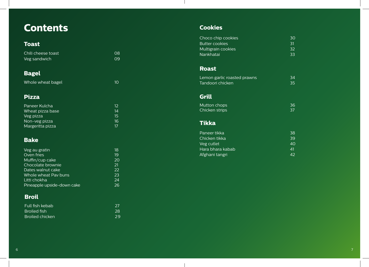# **Contents**

# **Toast**

| Chili cheese toast | O8. |
|--------------------|-----|
| Veg sandwich       | .N9 |

# **Bagel**

Whole wheat bagel **10** and 10

# **Pizza**

| Paneer Kulcha    | 12 |
|------------------|----|
| Wheat pizza base | 14 |
| Veg pizza        | 15 |
| Non-veg pizza    | 16 |
| Margeritta pizza | 17 |

# **Bake**

| 18 |
|----|
| 19 |
| 20 |
| 21 |
| 22 |
| 23 |
| 24 |
| 26 |
|    |

# **Broil**

| Full fish kebab | -27 |
|-----------------|-----|
| Broiled fish    | 28  |
| Broiled chicken | 29  |

# **Cookies**

 $\mathbf{I}$ 

| Choco chip cookies<br><b>Butter cookies</b><br>Multigrain cookies | 30<br>31<br>32 |
|-------------------------------------------------------------------|----------------|
| Nankhatai                                                         | 33             |
| <b>Roast</b>                                                      |                |
| Lemon garlic roasted prawns<br>Tandoori chicken                   | 34<br>35       |
| <b>Grill</b>                                                      |                |
| Mutton chops<br>Chicken strips                                    | 36<br>37       |
| <b>Tikka</b>                                                      |                |
| Paneer tikka                                                      | 38             |
| Chicken tikka<br>Veg cutlet                                       | 39<br>40       |
| Hara bhara kabab                                                  | 41             |
| Afghani tangri                                                    | 42             |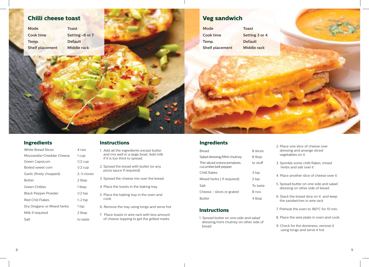

| White Bread Slices         | 4 nos      |
|----------------------------|------------|
| Mozzarella+Cheddar Cheese  | 1 cup      |
| Green Capsicum             | $1/2$ cup  |
| Boiled sweet corn          | $1/2$ cup  |
| Garlic (finely chopped)    | 2-3 cloves |
| Butter                     | 2 tbsp     |
| Green Chillies             | 1 tbsp     |
| Black Pepper Powder        | $1/2$ tsp  |
| Red Chili Flakes           | $1-2$ tsp  |
| Dry Oregano or Mixed herbs | 1 tsp      |
| Milk if reguired           | 2 tbsp     |
| Salt                       | to taste   |

#### **Instructions**

- 1. Add all the ingredients except butter and mix well in a large bowl. Add milk if it is too thick to spread.
- 2. Spread the bread with butter (or any pizza sauce if required)
- 3. Spread the cheese mix over the bread.
- 4. Place the toasts in the baking tray.
- 5. Place the baking tray in the oven and cook.
- 6. Remove the tray using tongs and serve hot
- 7. Place toasts in wire rack with less amount of cheese topping to get the grilled marks

#### **Ingredients**

| <b>Bread</b>                                           | 8 slices |
|--------------------------------------------------------|----------|
| Salad dressing/Mint chutney                            | 8 tbsp   |
| Thin sliced onions, tomatoes,<br>cucumber, bell pepper | to stuff |
| Chilli flakes                                          | 3 tsp    |
| Mixed herbs (if required)                              | 2 tsp    |
| Salt                                                   | To taste |
| Cheese - slices or grated                              | 8 nos    |
| Butter                                                 | 4 tbsp   |

#### **Instructions**

1. Spread butter on one side and salad dressing/mint chutney on other side of bread

- 2. Place one slice of cheese over dressing and arrange sliced vegetables on it
- 3. Sprinkle some chilli flakes, mixed herbs and salt over it
- 4. Place another slice of cheese over it.
- 5. Spread butter on one side and salad dressing on other side of bread.
- 6. Stack the bread slice on it and keep the sandwiches in wire rack
- 7. Preheat the oven to 180°C for 10 min.
- 8. Place the wire plate in oven and cook
- 9. Check for the doneness, remove it using tongs and serve it hot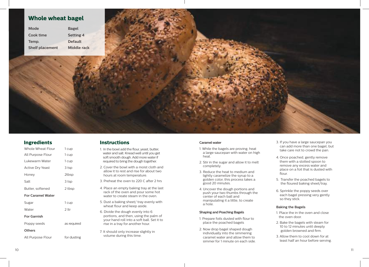| Mode                   | Ba  |
|------------------------|-----|
| Cook time              | Set |
| Temp.                  | De  |
| <b>Shelf placement</b> | Mi  |



#### **Ingredients Instructions**

| Whole Wheat Flour        | 1 cup       |
|--------------------------|-------------|
| All Purpose Flour        | 1 cup       |
| Lukewarm Water           | 1 cup       |
| <b>Active Dry Yeast</b>  | 3 tsp       |
| Honey                    | 2tbsp       |
| Salt                     | 3 tsp       |
| Butter, softened         | 2 tbsp      |
| <b>For Caramel Water</b> |             |
| Sugar                    | 1 cup       |
| Water                    | 2 ltr       |
| <b>For Garnish</b>       |             |
| Poppy seeds              | as required |
| Others                   |             |
| All Purpose Flour        | for dusting |
|                          |             |

- 1. In the bowl add the flour, yeast, butter, water and salt. Knead well until you get soft smooth dough. Add more water if required to bring the dough together.
- 2. Cover the bowl with a moist cloth and allow it to rest and rise for about two hours at room temperature.
- 3. Preheat the oven to 220 C after 2 hrs
- 4. Place an empty baking tray at the last rack of the oven and pour some hot water to create steam in the oven.
- 5. Dust a baking sheet/ tray evenly with wheat flour and keep aside.
- 6. Divide the dough evenly into 6 portions, and then, using the palm of your hand roll into a soft ball. Set it to rise in a tray for another hour.
- 7. It should only increase slightly in volume during this time.

#### **Caramel water**

- 1. While the bagels are proving, heat a large saucepan with water on high heat.
- 2. Stir in the sugar and allow it to melt completely.
- 3. Reduce the heat to medium and lightly caramelize the syrup to a golden color, this process takes a good 20 minutes.
- 4. Uncover the dough portions and push your two thumbs through the center of each ball and manipulating it a little, to create a hole.

#### **Shaping and Poaching Bagels**

- 1. Prepare foils dusted with flour to place the poached bagels
- 2. Now drop bagel shaped dough individually into the simmering caramel water and allow them to simmer for 1 minute on each side.
- 3. If you have a large saucepan you can add more than one bagel, but take care not to crowd the pan.
- 4. Once poached, gently remove them with a slotted spoon to remove any excess water and place on a foil that is dusted with flour.
- 5. Transfer the poached bagels to the floured baking sheet/tray.
- 6. Sprinkle the poppy seeds over each bagel pressing very gently so they stick.

#### **Baking the Bagels**

- 1. Place the in the oven and close the oven door.
- 2. Bake the bagels with steam for 10 to 12 minutes until deeply golden browned and firm.
- 3. Allow them to cool down for at least half an hour before serving.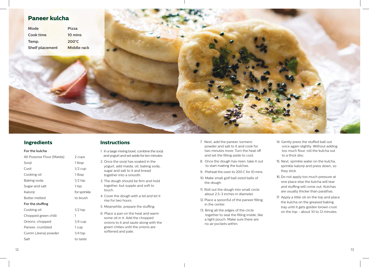

|  | For the kulcha |
|--|----------------|
|--|----------------|

| All Purpose Flour (Maida) | 2 cups       |
|---------------------------|--------------|
| Sooji                     | 1 tbsp       |
| Curd                      | $1/2$ cup    |
| Cooking oil               | 1 tbsp       |
| Baking soda               | $1/2$ tsp    |
| Sugar and salt            | 1 tsp        |
| Kalonji                   | for sprinkle |
| <b>Butter melted</b>      | to brush     |
| For the stuffing          |              |
| Cooking oil               | $1/2$ tsp    |
| Chopped green chilli      | 1            |
| Onions, chopped           | $1/4$ cup    |
| Paneer, crumbled          | 1 cup        |
| Cumin (Jeera) powder      | $1/4$ tsp    |
| Salt                      | to taste     |

#### **Instructions**

- 1. In a large mixing bowl, combine the sooji and yogurt and set aside for ten minutes.
- 2. Once the sooji has soaked in the yogurt, add maida, oil, baking soda, sugar and salt to it and knead together into a smooth.
- 3. The dough should be firm and hold together, but supple and soft to touch.
- 4. Cover the dough with a lid and let it rise for two hours.
- 5. Meanwhile, prepare the stuffing.
- 6. Place a pan on the heat and warm some oil in it. Add the chopped onions to it and saute along with the green chilies until the onions are softened and pale.
- 7. Next, add the paneer, turmeric powder and salt to it and cook for two minutes more. Turn the heat off and set the filling aside to cool.
- 8. Once the dough has risen, take it out to start making the kulchas.
- 9. Preheat the oven to 200 C for 10 mins.
- 10. Make small golf ball sized balls of the dough.
- 11. Roll out the dough into small circle about 2.5-3 inches in diameter.
- 12. Place a spoonful of the paneer filling in the center.
- 13. Bring all the edges of the circle together to seal the filling inside, like a tight pouch. Make sure there are no air pockets within.
- 14. Gently press the stuffed ball out once again slightly. Without adding too much flour, roll the kulcha out to a thick disc.
- 15. Next, sprinkle water on the kulcha, sprinkle kalonji and press down, so they stick.
- 16. Do not apply too much pressure at one place else the kulcha will tear and stuffing will come out. Kulchas are usually thicker than parathas.
- 17. Apply a little oil on the top and place the kulcha on the greased baking tray until it gets golden brown crust on the top - about 10 to 12 minutes.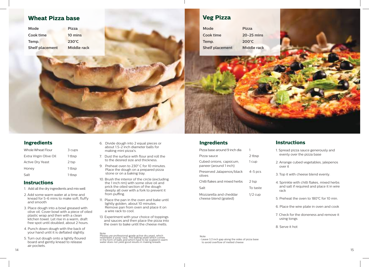

| Whole Wheat Flour       | 3 cups |
|-------------------------|--------|
| Extra Virgin Olive Oil  | 1 tbsp |
| <b>Active Dry Yeast</b> | 2 tsp  |
| Honey                   | 1 tbsp |
| Salt                    | 1 tbsp |

#### **Instructions**

- 1. Add all the dry ingredients and mix well
- 2. Add some warm water at a time and knead for 5-6 mins to make soft, fluffy and smooth
- 3. Place dough into a bowl greased with olive oil. Cover bowl with a piece of oiled plastic wrap and then with a clean kitchen towel. Let rise in a warm, draft free spot until doubled, about 2 hours.
- 4. Punch down dough with the back of your hand until it is deflated slightly.
- 5. Turn out dough onto a lightly floured board and gently knead to release air pockets.
- 6. Divide dough into 2 equal pieces or about 1.5-2 inch diameter balls for making mini pizza's.
- 7. Dust the surface with flour and roll the to the desired size and thickness.
- 9. Preheat oven to 230**°** C for 10 minutes. Place the dough on a prepared pizza stone or on a baking tray.
- 10. Brush the interior of the circle (excluding the 1 inch rim) with some olive oil and prick the oiled section of the dough deeply all over with a fork to prevent it from puffing.
- 11. Place the pan in the oven and bake until lightly golden, about 10 minutes. Remove pan from oven and place it on a wire rack to cool.
- 13. Experiment with your choice of toppings and sauces and then place the pizza into the oven to bake until the cheese melts.

Note:<br>Please use professional grade active dry yeast, which<br>resembles a sooji/ rava. The baking yeast which comes<br>in the form of balls and which have to be soaked in warm<br>water does not yield good results in making breads.

#### **Ingredients**

| Pizza base around 9 inch dia                      |           |
|---------------------------------------------------|-----------|
| Pizza sauce                                       | 2 tbsp    |
| Cubed onions, capsicum,<br>paneer (around 1 inch) | 1 cup     |
| Preserved Jalapenos/black<br>olives               | $4-5$ pcs |
| Chilli flakes and mixed herbs                     | 2 tsp     |
| Salt                                              | To taste  |
| Mozzarella and cheddar                            | $1/2$ cup |

Mozzarella and cheddar cheese blend (grated)

#### **Instructions**

- 1. Spread pizza sauce generously and evenly over the pizza base
- 2. Arrange cubed vegetables, jalepenos over it
- 3. Top it with cheese blend evenly.
- 4. Sprinkle with chilli flakes, mixed herbs and salt if required and place it in wire rack
- 5. Preheat the oven to 180°C for 10 min.
- 6. Place the wire plate in oven and cook
- 7. Check for the doneness and remove it using tongs

8. Serve it hot

Note: • Leave 1/2 inch gap along the sides of pizza base to avoid overflow of melted cheese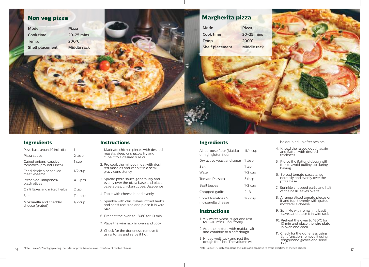

| Pizza base around 9 inch dia                        |           |
|-----------------------------------------------------|-----------|
| Pizza sauce                                         | 2 tbsp    |
| Cubed onions, capsicum,<br>tomatoes (around 1 inch) | 1 cup     |
| Fried chicken or cooked<br>meat kheema              | $1/2$ cup |
| Preserved Jalapenos/<br>black olives                | $4-5$ pcs |
| Chilli flakes and mixed herbs                       | 2 tsp     |
| Salt                                                | To taste  |
| Mozzarella and cheddar<br>cheese (grated)           | $1/2$ cup |
|                                                     |           |

#### **Instructions**

- 1. Marinate chicken pieces with desired masala, deep or shallow fry and cube it to a desired size or
- 2. Pre cook the minced meat with desi red masalas and keep it in a semi gravy consistency
- 3. Spread pizza sauce generously and evenly over the pizza base and place vegetables, chicken cubes, Jalepenos
- 4. Top it with cheese blend evenly.
- 5. Sprinkle with chilli flakes, mixed herbs and salt if required and place it in wire rack
- 6. Preheat the oven to 180°C for 10 min.
- 7. Place the wire rack in oven and cook
- 8. Check for the doneness, remove it using tongs and serve it hot

#### **Ingredients**

All purpose flour (Maida) or high gluten flour 11/4 cup Dry active yeast and sugar 1 tbsp

| Salt         |                                        | 1 tsp     |
|--------------|----------------------------------------|-----------|
| Water        |                                        | $1/2$ cup |
|              | Tomato Passata                         | 3 tbsp    |
| Basil leaves |                                        | $1/2$ cup |
|              | Chopped garlic                         | $2 - 3$   |
|              | Sliced tomatoes &<br>mozzarella cheese | $1/2$ cup |

#### **Instructions**

- 1. Mix water, yeast, sugar and rest for 5-10 mins. until frothy.
- 2. Add the mixture with maida, salt and combine to a soft dough
- 3. Knead well, tuck and rest the dough for 2 hrs. The volume will

be doubled up after two hrs.

- 4. Knead the raised dough again and flatten with desired thickness
- 5. Pierce the flattend dough with fork to avoid puffing up during baking
- 6. Spread tomato passata ge nerously and evenly over the pizza base
- 7. Sprinkle chopped garlic and half of the basil leaves over it
- 8. Arrange sliced tomato pieces on it and top it evenly with grated mozzarella cheese.
- 9. Sprinkle with remaining basil leaves and place it in wire rack
- 10. Preheat the oven to 180°C for 10 min and place the wire plate in oven and cook
- 11. Check for the doneness using light function, remove it using tongs/hand gloves and serve hot.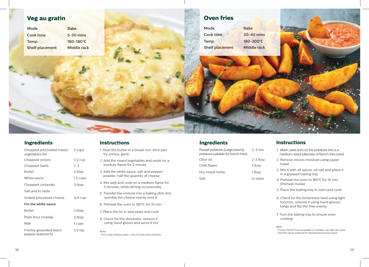

| Chopped and boiled mixed<br>vegetables list  | 2 cups    |
|----------------------------------------------|-----------|
| Chopped onions                               | $1/2$ cup |
| Chopped Garlic                               | $2 - 3$   |
| <b>Butter</b>                                | 2 tbsp    |
| White sauce                                  | 1.5 cups  |
| Chopped coriander                            | 3 tbsp    |
| Salt and to taste                            |           |
| Grated processed cheese                      | 3/4 cup   |
| For the white sauce                          |           |
| <b>Butter</b>                                | 2 tbsp    |
| Plain flour (maida)                          | 2 tbsp    |
| Milk                                         | 1 cups    |
| Freshly grounded black<br>pepper (kalimirch) | $1/2$ tsp |

#### **Instructions**

- 1. Heat the butter in a broad non-stick pan, fry onions, garlic
- 2. Add the mixed vegetables and sauté on a medium flame for 2 minute
- 3. Add the white sauce, salt and pepper powder, half the quantity of cheese.
- 4. Mix well and cook on a medium flame for 3 minutes, while stirring occasionally
- 5. Transfer the mixture into a baking dish (tin) sprinkle the cheese evenly over it
- 6. Preheat the oven to 180°C for 10 min.
- 7. Place the tin in wire plate and cook
- 8. Check for the doneness, remove it using hand gloves and serve it hot

Note: • For crispy cheese layer, cook for few extra minutes.

### **Ingredients**

| $2-3$ nos  |
|------------|
| $2-3$ tbsp |
| 1 tbsp     |
| 1 tbsp     |
| to taste   |
|            |

#### **Instructions**

- 1. Wash, peel and cut the potatoes into a a medium-sized juliennes or french fries sized
- 2. Remove excess moisture using paper towel
- 3. Mix it with all spices, oil salt and place it in a greased baking tray
- 4. Preheat the oven to 180°C for 10 min. (Preheat mode)
- 5. Place the baking tray in oven and cook
- 6. Check for the brownness level using light function, remove it using hand gloves/ tongs and flip the fries evenly
- 7. Turn the baking tray to ensure even cooking

#### Note:

• Frozen french fries available in markets can also be used • Use the same method for desired brownness level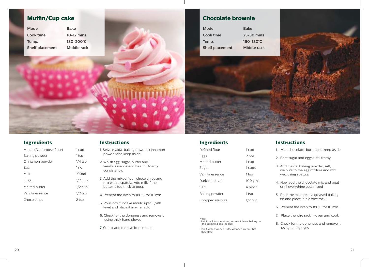# **Muffin/Cup cake**

| Mode                   |  |
|------------------------|--|
| Cook time              |  |
| Temp.                  |  |
| <b>Shelf placement</b> |  |



### **Chocolate brownie**

| <b>Mode</b>            | <b>Bake</b>          |
|------------------------|----------------------|
| Cook time              | 25-30 mins           |
| Temp.                  | $160 - 180^{\circ}C$ |
| <b>Shelf placement</b> | <b>Middle racl</b>   |



#### **Ingredients Instructions**

| 1 cup     |
|-----------|
| 2 nos     |
| 1 cup     |
| 1 cups    |
| 1 tsp     |
| $100$ gms |
| a pinch   |
| 1 tsp     |
| $1/2$ cup |
|           |

- 1. Melt chocolate, butter and keep aside
- 2. Beat sugar and eggs until frothy
- 3. Add maida, baking powder, salt, walnuts to the egg mixture and mix well using spatula
- 4. Now add the chocolate mix and beat until everything gets mixed
- 5. Pour the mixture in a greased baking tin and place it in a wire rack
- 6. Preheat the oven to 180°C for 10 min.
- 7. Place the wire rack in oven and cook
- 8. Check for the doneness and remove it using handgloves

### **Ingredients**

| Maida (All purpose flour) | 1 cup     |
|---------------------------|-----------|
| Baking powder             | 1 tsp     |
| Cinnamon powder           | $1/4$ tsp |
| Egg                       | 1 no      |
| Milk                      | 100ml     |
| Sugar                     | $1/2$ cup |
| Melted butter             | $1/2$ cup |
| Vanilla essence           | $1/2$ tsp |
| Choco chips               | 2 tsp     |

#### **Instructions**

- 1. Seive maida, baking powder, cinnamon powder and keep aside
- 2. Whisk egg, sugar, butter and vanilla essence and beat till foamy consistency.
- 3. Add the mixed flour, choco chips and mix with a spatula. Add milk if the batter is too thick to pour.
- 4. Preheat the oven to 180°C for 10 min.
- 5. Pour into cupcake mould upto 3/4th level and place it in wire rack.
- 6. Check for the doneness and remove it using thick hand gloves
- 7. Cool it and remove from mould

Note: • Let it cool for sometime, remove it from baking tin and cut it to a desired size

•Top it with chopped nuts/ whipped cream/ hot chocolate.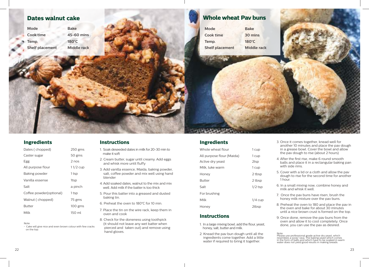

#### **Ingredients Instructions**

| Dates (chopped)         | $250$ gms  |
|-------------------------|------------|
| Caster sugar            | 50 gms     |
| Egg                     | 2 nos      |
| All purpose flour       | $11/2$ cup |
| Baking powder           | 1 tsp      |
| Vanilla essense         | 1tsp       |
| Salt                    | a pinch    |
| Coffee powder(optional) | 1 tsp      |
| Walnut (chopped)        | 75 gms     |
| Butter                  | $100$ gms  |
| Milk                    | $150$ ml   |

Note: • Cake will give nice and even brown colour with few cracks on the top.

- 1. Soak deseeded dates in milk for 20-30 min to make it soft
- 2. Cream butter, sugar until creamy. Add eggs and whisk more until fluffy
- 3. Add vanilla essence, Maida, baking powder, salt, coffee powder and mix well using hand blender
- 4. Add soaked dates, walnut to the mix and mix well. Add milk if the batter is too thick
- 5. Pour this batter into a greased and dusted baking tin.
- 6. Preheat the oven to 180°C for 10 min.
- 7. Place the tin on the wire rack, keep them in oven and cook
- 8. Check for the doneness using toothpick (it should not leave any wet batter when pierced and taken out) and remove using hand gloves.

#### **Ingredients**

| Whole wheat flour         | 1 cup     |
|---------------------------|-----------|
| All purpose flour (Maida) | 1 cup     |
| Active dry yeast          | 2tsp      |
| Milk, luke warm           | 1 cup     |
| Honey                     | 2 tbsp    |
| <b>Butter</b>             | 2 tbsp    |
| Salt                      | $1/2$ tsp |
| For brushing              |           |
| Milk                      | $1/4$ cup |
| Honey                     | 2tbsp     |

#### **Instructions**

- 1. In a large mixing bowl; add the flour, yeast, honey, salt, butter and milk.
- 2. Knead the pav bun dough until all the ingredients come together. Add a little water if required to bring it together.
- 3. Once it comes together, knead well for another 10 minutes and place the pav dough in a grease bowl. Cover the bowl and allow the pav dough to rise (about 2 hours)
- 4. After the first rise, make 6 round smooth balls and place it in a rectangular baking pan with side rims.
- 5. Cover with a lid or a cloth and allow the pav dough to rise for the second time for another 1 hour.
- 6. In a small mixing now, combine honey and milk and whisk it well.
- 7. Once the pav buns have risen; brush the honey milk mixture over the pav buns.
- 8. Preheat the oven to 180 and place the pav in the oven and bake for about 30 minutes until a nice brown crust is formed on the top.
- 9. Once done, remove the pav buns from the oven and allow it to cool completely. Once done, you can use the pav as desired.

Note:<br>Please use professional grade active dry yeast, which<br>resembles a sooji/ rava. The baking yeast which comes<br>in the form of balls and which have to be soaked in warn<br>water does not yield good results in making breads.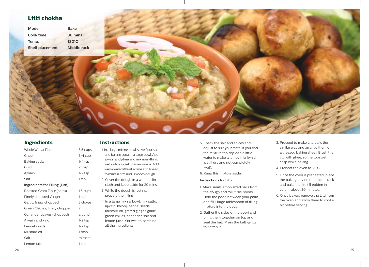# **Litti chokha**



#### **Ingredients**

| <b>Whole Wheat Flour</b>        | 3.5 cups       |
|---------------------------------|----------------|
| Ghee                            | 3/4 cup        |
| Baking soda                     | $1/4$ tsp      |
| Curd                            | 2 tbsp         |
| Ajwain                          | $1/2$ tsp      |
| Salt                            | 1 tsp          |
| Ingredients for Filling (Litti) |                |
| Roasted Gram Flour (sattu)      | 1.5 cups       |
| Finely chopped Ginger           | 1 inch         |
| Garlic, finely chopped          | 2 cloves       |
| Green Chillies, finely chopped  | $\overline{2}$ |
| Coriander Leaves (chopped)      | a bunch        |
| Ajwain and kalonji              | $1/2$ tsp      |
| Fennel seeds                    | $1/2$ tsp      |
| Mustard oil                     | 1 tbsp         |
| Salt                            | to taste       |
| Lemon juice                     | 1 tsp          |
|                                 |                |

#### **Instructions**

- 1. In a large mixing bowl, sieve flour, salt and baking soda in a large bowl. Add ajwain and ghee and mix everything well until you get coarse crumbs. Add warm water little at a time and knead to make a firm and smooth dough.
- 2. Cover the dough in a wet muslin cloth and keep aside for 20 mins.
- 3. While the dough is resting, prepare the filling
- 4. In a large mixing bowl, mix sattu, ajwain, kalonji, fennel seeds, mustard oil, grated ginger, garlic, green chilies, coriander, salt and lemon juice. Stir well to combine all the ingredients.
- 5. Check the salt and spices and adjust to suit your taste. If you find the mixture too dry, add a little water to make a lumpy mix (which is still dry and not completely wet).
- 6. Keep this mixture aside.

#### **Instructions for Litti.**

- 1. Make small lemon sized balls from the dough and roll it like pooris. Hold the poori between your palm and fill 1 large tablespoon of filling mixture into the dough.
- 2. Gather the sides of the poori and bring them together on top and seal the ball. Press the ball gently to flatten it.
- 3. Proceed to make Litti balls the similar way and arrange them on a greased baking sheet. Brush the litti with ghee, so the tops get crisp while baking.
- 4. Preheat the oven to 180 C.
- 5. Once the oven is preheated, place the baking tray on the middle rack and bake the litti till golden in color - about 30 minutes.
- 6. Once baked, remove the Litti from the oven and allow them to cool a bit before serving.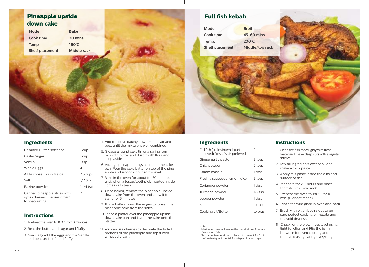

## **Full fish kebab**

| Mode                   | <b>Broil</b>      |
|------------------------|-------------------|
| Cook time              | <b>45-60 mins</b> |
| Temp.                  | $200^{\circ}$ C   |
| <b>Shelf placement</b> | Middle/top rack   |
|                        |                   |

#### **Ingredients**

| Unsalted Butter, softened | 1 cup      |
|---------------------------|------------|
| Caster Sugar              | 1 cup      |
| Vanilla                   | 1 tsp      |
| Whole Eggs                | 4          |
| All Purpose Flour (Maida) | 2.5 cups   |
| Salt                      | $1/2$ tsp  |
| Baking powder             | $11/4$ tsp |

7

Canned pineapple slices with syrup drained cherries or jam, for decorating

#### **Instructions**

- 1. Preheat the oven to 160 C for 10 minutes
- 2. Beat the butter and sugar until fluffy
- 3. Gradually add the eggs and the Vanilla and beat until soft and fluffy
- 4. Add the flour, baking powder and salt and beat until the mixture is well combined
- 5. Grease a round cake tin or a spring form pan with butter and dust it with flour and keep aside
- 6. Arrange pineapple rings all-round the cake pan. Pour the cake batter on top of the pine apple and smooth it out so it's level
- 7. Bake in the oven for about for 30 minutes until when a tester/toothpick inserted inside comes out clean
- 8. Once baked, remove the pineapple upside down cake from the oven and allow it to stand for 5 minutes
- 9. Run a knife around the edges to loosen the pineapple cake from the sides.
- 10. Place a platter over the pineapple upside down cake pan and invert the cake onto the platter.
- 11. You can use cherries to decorate the holed portions of the pineapple and top it with whipped cream.

### **Ingredients**

| Full fish (scales,internal parts<br>removed) Fresh fish is preferred. | $\mathcal{P}$ |
|-----------------------------------------------------------------------|---------------|
| Ginger garlic paste                                                   | 3 tbsp        |
| Chilli powder                                                         | 2 tbsp        |
| Garam masala                                                          | 1 tbsp        |
| Freshly squeezed lemon juice                                          | 3 tbsp        |
| Coriander powder                                                      | 1 tbsp        |
| Turmeric powder                                                       | $1/2$ tsp     |
| pepper powder                                                         | 1 tbsp        |
| Salt                                                                  | to taste      |
| Cooking oil/Butter                                                    | to brush      |
|                                                                       |               |

#### Note:

- Marination time will ensure the penetration of masala flavour into fish
- Set higher temperature or place it in top rack for 5 min before taking out the fish for crisp and brown layer.

#### **Instructions**

- 1. Clean the fish thoroughly with fresh water and make deep cuts with a regular interval.
- 2. Mix all ingredients except oil and make a thick paste
- 3. Apply this paste inside the cuts and surface of fish.
- 4. Marinate for 2-3 hours and place the fish in the wire rack
- 5. Preheat the oven to 180°C for 10 min. (Preheat mode)
- 6. Place the wire plate in oven and cook
- 7. Brush with oil on both sides to en sure perfect cooking of masala and to avoid dryness.
- 8. Check for the brownness level using light function and Flip the fish in between for even cooking and remove it using handgloves/tongs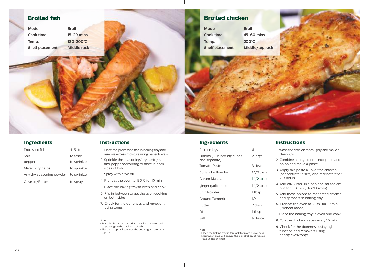### **Broiled fish**

| Mode            | <b>Broil</b> |
|-----------------|--------------|
| Cook time       | $15-20$ mins |
| Temp.           | 180-200°C    |
| Shelf placement | Middle rack  |

# **Broiled chicken**

| <b>Mode</b>            | <b>Broil</b>    |
|------------------------|-----------------|
| <b>Cook time</b>       | $45 - 60$       |
| Temp.                  | $200^{\circ}$ C |
| <b>Shelf placement</b> | <b>Middle</b>   |

**Cook time 45-60 mins Je/top rack** 

## **Ingredients**

| Processed fish                       | 4-5 strips  |
|--------------------------------------|-------------|
| Salt                                 | to taste    |
| pepper                               | to sprinkle |
| Mixed dry herbs                      | to sprinkle |
| Any dry seasoning powder to sprinkle |             |
| Olive oil/Butter                     | to spray    |

#### **Instructions**

- 1. Place the processed fish in baking tray and remove excess moisture using paper towels
- 2. Sprinkle the seasoning/dry herbs/ salt and pepper according to taste in both sides of fish
- 3. Spray with olive oil
- 4. Preheat the oven to 180°C for 10 min.
- 5. Place the baking tray in oven and cook
- 6. Flip in between to get the even cooking on both sides
- 7. Check for the doneness and remove it using tongs

#### Note:

• Since the fish is processed, it takes less time to cook depending on the thickness of fish • Place it in top rack towards the end to get more brown top layer

#### **Ingredients**

| Chicken legs                                | 6           |
|---------------------------------------------|-------------|
| Onions (Cut into big cubes<br>and separate) | 2 large     |
| Tomato Paste                                | 3 tbsp      |
| Coriander Powder                            | $11/2$ tbsp |
| Garam Masala                                | $11/2$ tbsp |
| ginger garlic paste                         | $11/2$ tbsp |
| Chili Powder                                | 1 tbsp      |
| Ground Turmeric                             | $1/4$ tsp   |
| <b>Butter</b>                               | 2 tbsp      |
| Oil                                         | 1 tbsp      |
| Salt                                        | to taste    |
|                                             |             |

Note:

• Place the baking tray in top rack for more brownness • Marination time will ensure the penetration of masala flavour into chicken

#### **Instructions**

- 1. Wash the chicken thoroughly and make a deep slits
- 2. Combine all ingredients except oil and onion and make a paste
- 3. Apply this paste all over the chicken, (concentrate in slits) and marinate it for 2-3 hours
- 4. Add oil/Butter in a pan and sautee oni ons for 2-3 min ( Don't brown)
- 5. Add these onions to marinated chicken and spread it in baking tray.
- 6. Preheat the oven to 180°C for 10 min. (Preheat mode)
- 7. Place the baking tray in oven and cook
- 8. Flip the chicken pieces every 10 min
- 9. Check for the doneness using light function and remove it using handgloves/tongs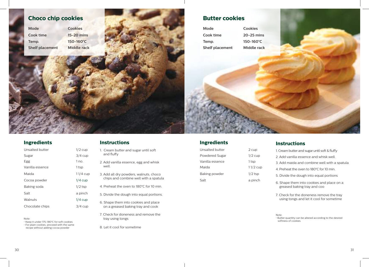## **Choco chip cookies**

**Mode Cookies Cook time 15-20 mins Temp. 150-160°C Shelf placement Middle rack**



### **Butter cookies**

| Mode                   | <b>Cookies</b> |
|------------------------|----------------|
| Cook time              | $20-25$ mins   |
| Temp.                  | 150-160°C      |
| <b>Shelf placement</b> | Middle rack    |

#### **Ingredients**

| Unsalted butter | $1/2$ cup  |
|-----------------|------------|
| Sugar           | $3/4$ cup  |
| Egg             | 1 no.      |
| Vanilla essence | 1 tsp      |
| Maida           | $11/4$ cup |
| Cocoa powder    | $1/4$ cup  |
| Baking soda     | $1/2$ tsp  |
| Salt            | a pinch    |
| Walnuts         | $1/4$ cup  |
| Chocolate chips | $3/4$ cup  |

Note:

• Keep it under 175-180°C for soft cookies

• For plain cookies, proceed with the same recipe without adding cocoa powder

#### **Instructions**

1. Cream butter and sugar until soft and fluffy

2. Add vanilla essence, egg and whisk well.

- 3. Add all dry powders, walnuts, choco chips and combine well with a spatula
- 4. Preheat the oven to 180°C for 10 min.
- 5. Divide the dough into equal portions.
- 6. Shape them into cookies and place on a greased baking tray and cook
- 7. Check for doneness and remove the tray using tongs

8. Let it cool for sometime

Unsalted butter 2 cup Powdered Sugar 1/2 cup Vanilla essence 1 tsp Maida 11/2 cup Baking powder 1/2 tsp Salt a pinch

### **Ingredients Instructions**

| 1. Cream butter and sugar until soft & fluffy                            |
|--------------------------------------------------------------------------|
| 2. Add vanilla essence and whisk well.                                   |
| 3. Add maida and combine well with a spatula                             |
| 4. Preheat the oven to 180°C for 10 min.                                 |
| 5. Divide the dough into equal portions                                  |
| 6. Shape them into cookies and place on a<br>greased baking tray and coo |

7. Check for the doneness remove the tray using tongs and let it cool for sometime

Note:

• Butter quantity can be altered according to the desired softness of cookies.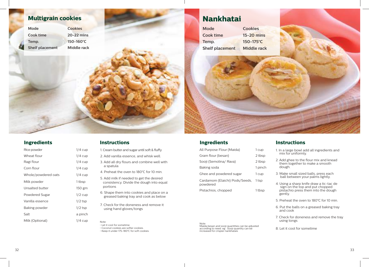

| Rice powder         | 1/4 cup   |
|---------------------|-----------|
| Wheat flour         | 1/4 cup   |
| Ragi flour          | 1/4 cup   |
| Corn flour          | 1/4 cup   |
| Whole/powdered oats | $1/4$ cup |
| Milk powder         | 1 tbsp    |
| Unsalted butter     | 150 gm    |
| Powdered Sugar      | $1/2$ cup |
| Vanilla essence     | 1/2 tsp   |
| Baking powder       | 1/2 tsp   |
| Salt                | a pinch   |
| Milk (Optional)     | 1/4 cup   |
|                     |           |

#### **Instructions**

- 1. Cream butter and sugar until soft & fluffy
- 2. Add vanilla essence, and whisk well.
	- 3. Add all dry flours and combine well with a spatula
	- 4. Preheat the oven to 180°C for 10 min.
	- 5. Add milk if needed to get the desired consistency. Divide the dough into equal portions
- 6. Shape them into cookies and place on a greased baking tray and cook as below
- 7. Check for the doneness and remove it using hand gloves/tongs

Note: • Let it cool for sometime • Coconut cookies are softer cookies. • Keep it under 175-180°C for soft cookies.

Note: Maida,besan and sooji quantities can be adjusted according to need. eg : Sooji quantity can be increased for crispier nankhatais

powdered

**Ingredients**

All Purpose Flour (Maida) 1 cup Gram flour (besan) 2 tbsp Sooji (Semolina/ Rava) 2 tbsp Baking soda<br>
1 pinch Ghee and powdered sugar 1 cup Cardamom (Elaichi) Pods/Seeds, 1 tsp

Pistachios, chopped 1 tbsp

#### **Instructions**

- 1. In a large bowl add all ingredients and mix for uniformly.
- 2. Add ghee to the flour mix and knead them together to make a smooth dough.
- 3. Make small sized balls, press each ball between your palms lightly.
- 4. Using a sharp knife draw a tic-tac de sign on the top and put chopped pistachio press them into the dough gently.
- 5. Preheat the oven to 180°C for 10 min.
- 6. Put the balls on a greased baking tray and cook
- 7. Check for doneness and remove the tray using tongs

8. Let it cool for sometime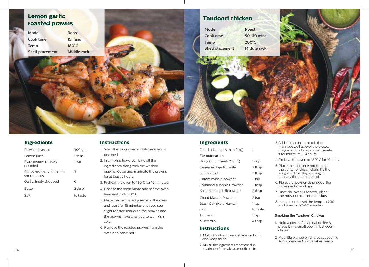

| Prawns, deveined                           | 300 gms  |
|--------------------------------------------|----------|
| Lemon juice                                | 1 tbsp   |
| Black pepper, coarsely<br>pounded          | 1 tsp    |
| Sprigs rosemary, torn into<br>small pieces | 3        |
| Garlic, finely chopped                     | 6        |
| <b>Butter</b>                              | 2 tbsp   |
| Salt                                       | to taste |

#### **Instructions**

- 1. Wash the prawns well and also ensure it is deveined
- 2. In a mixing bowl, combine all the ingredients along with the washed prawns. Cover and marinate the prawns for at least 2 hours.
- 3. Preheat the oven to 180 C for 10 minutes.
- 4. Choose the roast mode and set the oven temperature to 180 C.
- 5. Place the marinated prawns in the oven and roast for 15 minutes until you see slight roasted marks on the prawns and the prawns have changed to a pinkish color.
- 6. Remove the roasted prawns from the oven and serve hot. 1. Make 1-inch slits on chicken on both

#### **Ingredients**

| Full chicken (less than 2 kg) | 1        |
|-------------------------------|----------|
| For marination                |          |
| Hung Curd (Greek Yogurt)      | 1 cup    |
| Ginger and garlic paste       | 2 tbsp   |
| Lemon juice                   | 2 tbsp   |
| Garam masala powder           | 2 tsp    |
| Coriander (Dhania) Powder     | 2 tbsp   |
| Kashmiri red chilli powder    | 2 tbsp   |
| Chaat Masala Powder           | 2 tsp    |
| Black Salt (Kala Namak)       | 1 tsp    |
| Salt                          | to taste |
| Turmeric                      | 1 tsp    |
| Mustard oil                   | 4 tbsp   |
|                               |          |

#### **Instructions**

- and keep aside.
- 2. Mix all the ingredients mentioned in 'marination' to make a smooth paste. 34 Superintendial contract a superior contract of the superior of the superior contract of the superior of the superior of the superior of the superior of the superior of the superior of the superior of the superior of the
- 3. Add chicken in it and rub the marinade well all over the pieces. Cling wrap the bowl and refrigerate it for minimum 3-4 hours.
- 4. Preheat the oven to 180**°** C for 10 mins.
- 5. Place the rotisserie rod through the center of the chicken. Tie the wings and the thighs using a culinary thread to the rod.
- 6. Pierce the hooks on either side of the chicken and screw it tight.
- 7. Once the oven is heated, place the rotisserie rod into the slots
- 8. In roast mode, set the temp. to 200 and time for 50-60 minutes

#### **Smoking the Tandoori Chicken**

- 1. Hold a piece of charcoal on fire & place it in a small bowl in between chicken
- 2. Add 1tbsp ghee on charcoal, cover lid to trap smoke & serve when ready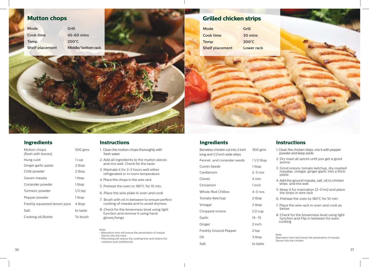# **Mutton chops**

| Mode                   | Grill              |
|------------------------|--------------------|
| Cook time              | 45-60 mins         |
| Temp.                  | $200^{\circ}$ C    |
| <b>Shelf placement</b> | Middle/bottom rack |

### **Grilled chicken strips**

| <b>Mode</b>            | Grill             |
|------------------------|-------------------|
| Cook time              | 30 mins           |
| Temp.                  | $200^{\circ}$ C   |
| <b>Shelf placement</b> | <b>Lower rack</b> |

#### **Ingredients Instructions**

| Mutton chops<br>(flesh with bones) | 500 gms   |
|------------------------------------|-----------|
| Hung curd                          | 1 cup     |
| Ginger garlic paste                | 2 tbsp    |
| Chilli powder                      | 2 tbsp    |
| Garam masala                       | 1 tbsp    |
| Coriander powder                   | 1 tbsp    |
| Turmeric powder                    | $1/2$ tsp |
| Pepper powder                      | 1 tbsp    |
| Freshly squeezed lemon juice       | 4 tbsp    |
| Salt                               | to taste  |
| Cooking oil/Butter                 | To brush  |

- 1. Clean the mutton chops thoroughly with fresh water
- 2. Add all ingredients to the mutton pieces and mix well. Check for the taste
- 3. Marinate it for 2-3 hours well either refrigerated or in room temperature
- 4. Place the chops in the wire rack
- 5. Preheat the oven to 180°C for 10 min.
- 6. Place the wire plate in oven and cook
- 7. Brush with oil in between to ensure perfect cooking of masala and to avoid dryness.
- 8. Check for the brownness level using light function and remove it using hand gloves/tongs

Note: • Marination time will ensure the penetration of masala flavour into the meat • Precooking will reduce the cooking time and retains the moisture (user preference)

#### **Ingredients Instructions**

Boneless chicken cut into 2 inch long and 1/2 inch wide strips 300 gms Fennel and coriander seeds 11/2 tbsp Cumin Seeds 1 tbsp Cardamom 2-3 nos Cloves 4 nos Cinnamon 1 inch Whole Red Chillies **4-5 nos** Tomato Ketchup 2 tbsp Vinegar 2 tbsp Chopped onions 1/2 cup Garlic 14 -15 Ginger 2 inch Freshly Ground Pepper 2 tsp Oil 3 tbsp Salt to taste

- 1. Clean the chicken strips, mix it with pepper powder and keep aside
- 2. Dry roast all spices until you get a good aroma
- 3. Grind onions, tomato ketchup, dry roasted masalas, vinegar, ginger garlic into a thick paste.
- 4. Add the ground masala, salt, oil to chicken strips and mix well
- 5. Keep it for marination (2-3 hrs) and place the strips in wire rack
- 6. Preheat the oven to 180°C for 10 min.
- 7. Place the wire rack in oven and cook as below
- 8. Check for the brownness level using light function and Flip in between for even cooking

#### Note:

Marination time will ensure the penetration of masala flavour into the chicken

36 and the contract of the contract of the contract of the contract of the contract of the contract of the contract of the contract of the contract of the contract of the contract of the contract of the contract of the con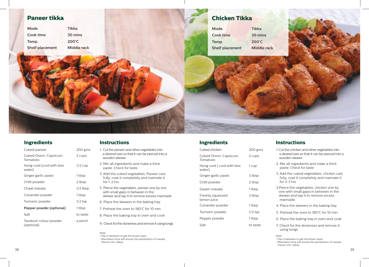### **Paneer tikka**

| Mode                   | Tikka           |
|------------------------|-----------------|
| Cook time              | 30 mins         |
| Temp.                  | $200^{\circ}$ C |
| <b>Shelf placement</b> | Middle rack     |

### **Chicken Tikka**

| Mode                   | <b>Tikka</b>       |
|------------------------|--------------------|
| Cook time              | 30 mins            |
| Temp.                  | $200^{\circ}$ C    |
| <b>Shelf placement</b> | <b>Middle rack</b> |

### **Ingredients Instructions**

| Cubed paneer                         | 200 gms    |
|--------------------------------------|------------|
| Cubed Onion, Capsicum,<br>Tomatoes   | 2 cups     |
| Hung curd (curd with less<br>water)  | $1/2$ cup  |
| Ginger garlic paste                  | 1 tbsp     |
| Chilli powder                        | 2 tbsp     |
| Chaat masala                         | $1/2$ tbsp |
| Coriander powder                     | 1 tbsp     |
| Turmeric powder                      | $1/2$ tsp  |
| Pepper powder (optional)             | 1 tbsp     |
| Salt                                 | to taste   |
| Tandoori colour powder<br>(optional) | a pinch    |

- 1. Cut the paneer and other vegetables into a desired size so that it can be pierced into a wooden skewer
- 2. Mix all ingredients and make a thick paste. Check for taste
- 3. Add the cubed vegetables, Paneer care fully, coat it completely and marinate it for 1-2 hrs
- 5. Pierce the vegetables, paneer one by one with small gaps in between in the skewer and tap it to remove excess marinade.
- 6. Place the skewers in the baking tray.
- 7. Preheat the oven to 180°C for 10 min.
- 8. Place the baking tray in oven and cook
- 9. Check for the doneness and remove it using tongs

Note: • Flip in between to get the brown layer • Marination time will ensure the penetration of masala flavour into tikkas

#### **Ingredients**

| Cubed chicken                       | 200 gms   |
|-------------------------------------|-----------|
| Cubed Onion, Capsicum,<br>Tomatoes  | 2 cups    |
| Hung curd (curd with less<br>water) | 1 cup     |
| Ginger garlic paste                 | 3 tbsp    |
| Chilli powder                       | 2 tbsp    |
| Garam masala                        | 1 tbsp    |
| Freshly squeezed<br>lemon juice     | 3 tbsp    |
| Coriander powder                    | 1 tbsp    |
| Turmeric powder                     | $1/2$ tsp |
| Pepper powder                       | 1 tbsp    |
| Salt                                | to taste  |
|                                     |           |

#### **Instructions**

- 1. Cut the chicken and other vegetables into a desired size so that it can be pierced into a wooden skewer
- 2. Mix all ingredients and make a thick paste. Check for taste
- 3. Add the cubed vegetables, chicken care fully, coat it completely and marinate it for 2-3 hrs
- 3.Pierce the vegetables, chicken one by one with small gaps in between in the skewer and tap it to remove excess marinade.
- 4. Place the skewers in the baking tray.
- 5. Preheat the oven to 180°C for 10 min.
- 6. Place the baking tray in oven and cook
- 7. Check for the doneness and remove it using tongs

- **Note:<br>• Flip in between to get the brown layer<br>• Marination time will ensure the penetr** • Marination time will ensure the penetration of masala
- flavour into tikkas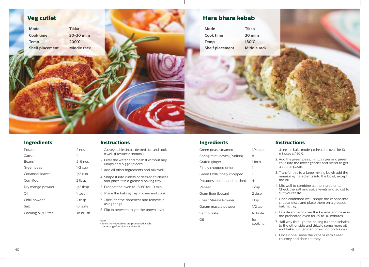

#### **Ingredients Instructions**

| Potato             | $2$ nos    |
|--------------------|------------|
| Carrot             | 1          |
| Beans              | $5-6$ nos  |
| Green peas         | $1/2$ cup  |
| Coriander leaves   | $1/2$ cup  |
| Corn flour         | 2 tbsp     |
| Dry mango powder   | $1/2$ tbsp |
| Oil                | 1 tbsp     |
| Chilli powder      | 2 tbsp     |
| Salt               | to taste   |
| Cooking oil/Butter | To brush   |

- 1. Cut vegetables into a desired size and cook it well (Pressure or normal)
- 2. Filter the water and mash it without any lumps and bigger pieces
- 3. Add all other ingredients and mix well
- 4. Shape it into cutlets of desired thickness and place it in a greased baking tray.
- 5. Preheat the oven to 180°C for 10 min.
- 6. Place the baking tray in oven and cook
- 7. Check for the doneness and remove it using tongs
	- 8. Flip in between to get the brown layer

Note: • Since the vegetables are precooked, slight browning of top layer is desired

#### **Ingredients Instructions**

| Green peas, steamed          | $1/4$ cups     |
|------------------------------|----------------|
| Spring mint leaves (Pudina)  | 8              |
| Grated ginger                | 1 inch         |
| Finely chopped onion         | 1              |
| Green Chilli, finely chopped | 1              |
| Potatoes, boiled and mashed  | 4              |
| Paneer                       | 1 cup          |
| Gram flour (besan)           | 2 tbsp         |
| Chaat Masala Powder          | 1 tsp          |
| Garam masala powder          | $1/2$ tsp      |
| Salt to taste                | to taste       |
| Oil                          | for<br>cooking |

- 1. Using the bake mode, preheat the oven for 10 minutes at 180 C.
- 2. Add the green peas, mint, ginger and green chilli into the mixer grinder and blend to get a coarse paste.
- 3. Transfer this to a large mixing bowl; add the remaining ingredients into the bowl, except the oil.
- 4. Mix well to combine all the ingredients. Check the salt and spice levels and adjust to suit your taste.
- 5. Once combined well, shape the kebabs into circular discs and place them on a greased baking tray.
- 6. Drizzle some oil over the kebabs and bake in the preheated oven for 25 to 30 minutes.
- 7. Half way through the baking turn the kebabs to the other side and drizzle some more oil and bake until golden brown on both sides.
- 8. Once done, serve the kebabs with Green chutney and date chutney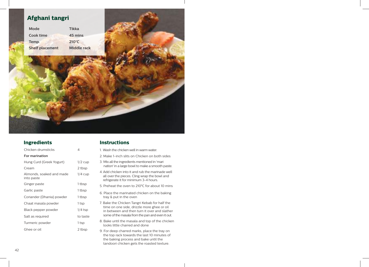### **Afghani tangri**

**Mode Tikka Cook time 45 mins Temp. 210°C Shelf placement Middle rack**

Chicken drumsticks 4

Almonds, soaked and made

Hung Curd (Greek Yogurt) 1/2 cup Cream 2 tbsp

Ginger paste 1 tbsp Garlic paste 1 tbsp Coriander (Dhania) powder 1 tbsp Chaat masala powder 1 tsp Black pepper powder and 1/4 tsp Salt as required to taste Turmeric powder 1 tsp Ghee or oil 2 tbsp

1/4 cup

**For marination**

into paste

#### **Ingredients Instructions**

- 1. Wash the chicken well in warm water.
	- 2. Make 1-inch slits on Chicken on both sides
- 3. Mix all the ingredients mentioned in 'mari nation' in a large bowl to make a smooth paste.
- 4. Add chicken into it and rub the marinade well all over the pieces. Cling wrap the bowl and refrigerate it for minimum 3-4 hours.
- 5. Preheat the oven to 210**°**C for about 10 mins
- 6. Place the marinated chicken on the baking tray & put in the oven
- 7. Bake the Chicken Tangri Kebab for half the time on one side, drizzle more ghee or oil in between and then turn it over and slather some of the masala from the pan and even it out.
- 8. Bake until the masala and top of the chicken looks little charred and done
- 9. For deep charred marks, place the tray on the top rack towards the last 10 minutes of the baking process and bake until the tandoori chicken gets the roasted texture.